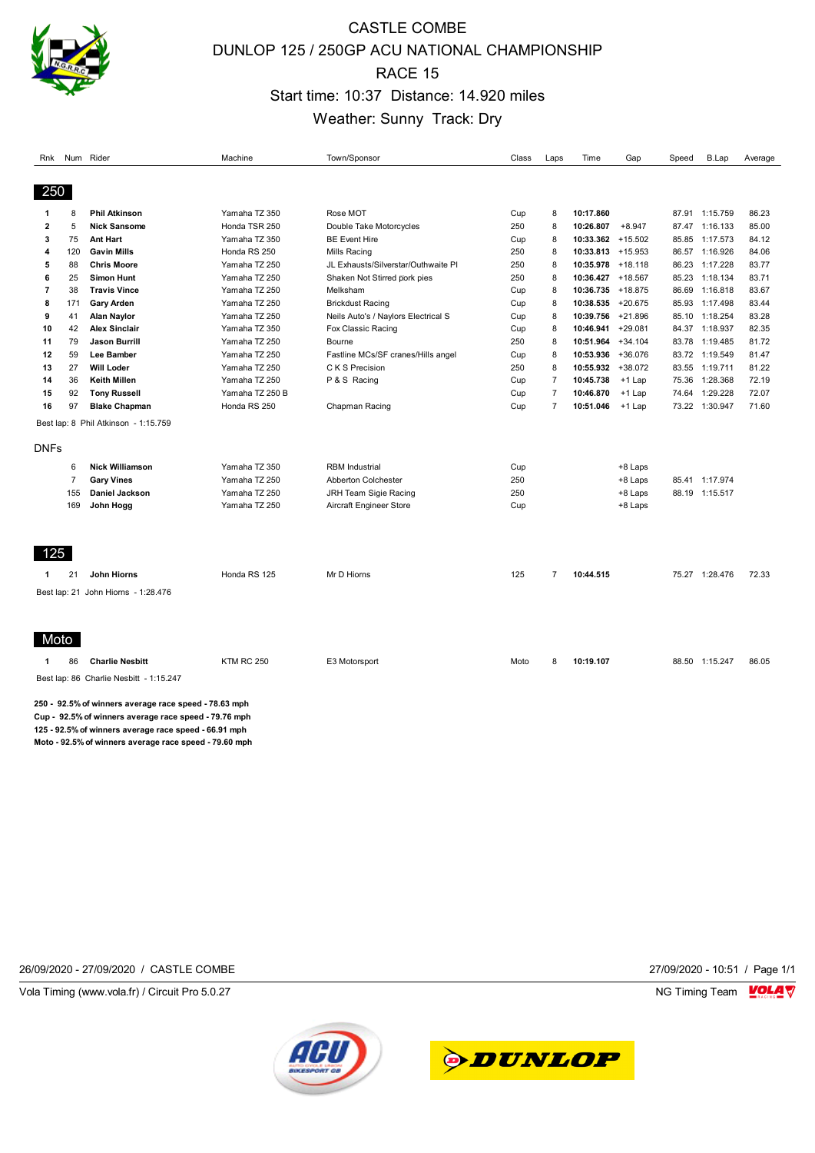

# CASTLE COMBE DUNLOP 125 / 250GP ACU NATIONAL CHAMPIONSHIP RACE 15 Start time: 10:37 Distance: 14.920 miles Weather: Sunny Track: Dry

| Rnk                                                                                                                                                                                                                       | Num            | Rider                                   | Machine           | Town/Sponsor                        | Class | Laps           | Time                 | Gap       | Speed | <b>B.Lap</b>   | Average |
|---------------------------------------------------------------------------------------------------------------------------------------------------------------------------------------------------------------------------|----------------|-----------------------------------------|-------------------|-------------------------------------|-------|----------------|----------------------|-----------|-------|----------------|---------|
| 250                                                                                                                                                                                                                       |                |                                         |                   |                                     |       |                |                      |           |       |                |         |
| 1                                                                                                                                                                                                                         | 8              | <b>Phil Atkinson</b>                    | Yamaha TZ 350     | Rose MOT                            | Cup   | 8              | 10:17.860            |           |       | 87.91 1:15.759 | 86.23   |
| $\overline{\mathbf{c}}$                                                                                                                                                                                                   | 5              | <b>Nick Sansome</b>                     | Honda TSR 250     | Double Take Motorcycles             | 250   | 8              | 10:26.807            | $+8.947$  |       | 87.47 1:16.133 | 85.00   |
| 3                                                                                                                                                                                                                         | 75             | <b>Ant Hart</b>                         | Yamaha TZ 350     | <b>BE Event Hire</b>                | Cup   | 8              | $10:33.362 + 15.502$ |           |       | 85.85 1:17.573 | 84.12   |
| 4                                                                                                                                                                                                                         | 120            | <b>Gavin Mills</b>                      | Honda RS 250      | Mills Racing                        | 250   | 8              | $10:33.813 + 15.953$ |           |       | 86.57 1:16.926 | 84.06   |
| 5                                                                                                                                                                                                                         | 88             | <b>Chris Moore</b>                      | Yamaha TZ 250     | JL Exhausts/Silverstar/Outhwaite PI | 250   | 8              | 10:35.978 +18.118    |           |       | 86.23 1:17.228 | 83.77   |
| 6                                                                                                                                                                                                                         | 25             | <b>Simon Hunt</b>                       | Yamaha TZ 250     | Shaken Not Stirred pork pies        | 250   | 8              | 10:36.427 +18.567    |           |       | 85.23 1:18.134 | 83.71   |
| $\overline{7}$                                                                                                                                                                                                            | 38             | <b>Travis Vince</b>                     | Yamaha TZ 250     | Melksham                            | Cup   | 8              | 10:36.735 +18.875    |           | 86.69 | 1:16.818       | 83.67   |
| 8                                                                                                                                                                                                                         | 171            | <b>Gary Arden</b>                       | Yamaha TZ 250     | <b>Brickdust Racing</b>             | Cup   | 8              | $10:38.535 + 20.675$ |           |       | 85.93 1:17.498 | 83.44   |
| 9                                                                                                                                                                                                                         | 41             | <b>Alan Naylor</b>                      | Yamaha TZ 250     | Neils Auto's / Naylors Electrical S | Cup   | 8              | 10:39.756 +21.896    |           | 85.10 | 1:18.254       | 83.28   |
| 10                                                                                                                                                                                                                        | 42             | <b>Alex Sinclair</b>                    | Yamaha TZ 350     | Fox Classic Racing                  | Cup   | 8              | 10:46.941            | $+29.081$ |       | 84.37 1:18.937 | 82.35   |
| 11                                                                                                                                                                                                                        | 79             | <b>Jason Burrill</b>                    | Yamaha TZ 250     | Bourne                              | 250   | 8              | 10:51.964            | $+34.104$ | 83.78 | 1:19.485       | 81.72   |
| 12                                                                                                                                                                                                                        | 59             | Lee Bamber                              | Yamaha TZ 250     | Fastline MCs/SF cranes/Hills angel  | Cup   | 8              | 10:53.936 +36.076    |           |       | 83.72 1:19.549 | 81.47   |
| 13                                                                                                                                                                                                                        | 27             | <b>Will Loder</b>                       | Yamaha TZ 250     | C K S Precision                     | 250   | 8              | 10:55.932 +38.072    |           |       | 83.55 1:19.711 | 81.22   |
| 14                                                                                                                                                                                                                        | 36             | <b>Keith Millen</b>                     | Yamaha TZ 250     | P & S Racing                        | Cup   | $\overline{7}$ | 10:45.738            | $+1$ Lap  | 75.36 | 1:28.368       | 72.19   |
| 15                                                                                                                                                                                                                        | 92             | <b>Tony Russell</b>                     | Yamaha TZ 250 B   |                                     | Cup   | $\overline{7}$ | 10:46.870            | $+1$ Lap  | 74.64 | 1:29.228       | 72.07   |
| 16                                                                                                                                                                                                                        | 97             | <b>Blake Chapman</b>                    | Honda RS 250      | Chapman Racing                      | Cup   | $\overline{7}$ | 10:51.046            | +1 Lap    |       | 73.22 1:30.947 | 71.60   |
|                                                                                                                                                                                                                           |                | Best lap: 8 Phil Atkinson - 1:15.759    |                   |                                     |       |                |                      |           |       |                |         |
|                                                                                                                                                                                                                           |                |                                         |                   |                                     |       |                |                      |           |       |                |         |
| DNFs                                                                                                                                                                                                                      |                |                                         |                   |                                     |       |                |                      |           |       |                |         |
|                                                                                                                                                                                                                           | 6              | <b>Nick Williamson</b>                  | Yamaha TZ 350     | <b>RBM</b> Industrial               | Cup   |                |                      | +8 Laps   |       |                |         |
|                                                                                                                                                                                                                           | $\overline{7}$ | <b>Gary Vines</b>                       | Yamaha TZ 250     | Abberton Colchester                 | 250   |                |                      | +8 Laps   |       | 85.41 1:17.974 |         |
|                                                                                                                                                                                                                           | 155            | Daniel Jackson                          | Yamaha TZ 250     | JRH Team Sigie Racing               | 250   |                |                      | +8 Laps   |       | 88.19 1:15.517 |         |
|                                                                                                                                                                                                                           | 169            | John Hogg                               | Yamaha TZ 250     | Aircraft Engineer Store             | Cup   |                |                      | +8 Laps   |       |                |         |
|                                                                                                                                                                                                                           |                |                                         |                   |                                     |       |                |                      |           |       |                |         |
|                                                                                                                                                                                                                           |                |                                         |                   |                                     |       |                |                      |           |       |                |         |
| 125                                                                                                                                                                                                                       |                |                                         | Honda RS 125      |                                     |       | $\overline{7}$ |                      |           |       |                |         |
| 1                                                                                                                                                                                                                         | 21             | John Hiorns                             |                   | Mr D Hiorns                         | 125   |                | 10:44.515            |           |       | 75.27 1:28.476 | 72.33   |
|                                                                                                                                                                                                                           |                | Best lap: 21 John Hiorns - 1:28.476     |                   |                                     |       |                |                      |           |       |                |         |
| Moto                                                                                                                                                                                                                      |                |                                         |                   |                                     |       |                |                      |           |       |                |         |
| 1                                                                                                                                                                                                                         | 86             | <b>Charlie Nesbitt</b>                  | <b>KTM RC 250</b> | E3 Motorsport                       | Moto  | 8              | 10:19.107            |           |       | 88.50 1:15.247 | 86.05   |
|                                                                                                                                                                                                                           |                | Best lap: 86 Charlie Nesbitt - 1:15.247 |                   |                                     |       |                |                      |           |       |                |         |
| 250 92.5% of winners average race speed 78.63 mph<br>Cup 92.5% of winners average race speed 79.76 mph<br>125 - 92.5% of winners average race speed - 66.91 mph<br>Moto - 92.5% of winners average race speed - 79.60 mph |                |                                         |                   |                                     |       |                |                      |           |       |                |         |

26/09/2020 - 27/09/2020 / CASTLE COMBE 27/09/2020 - 10:51 / Page 1/1

Vola Timing (www.vola.fr) / Circuit Pro 5.0.27 **NG Timing Team MOLA View Account Property** 



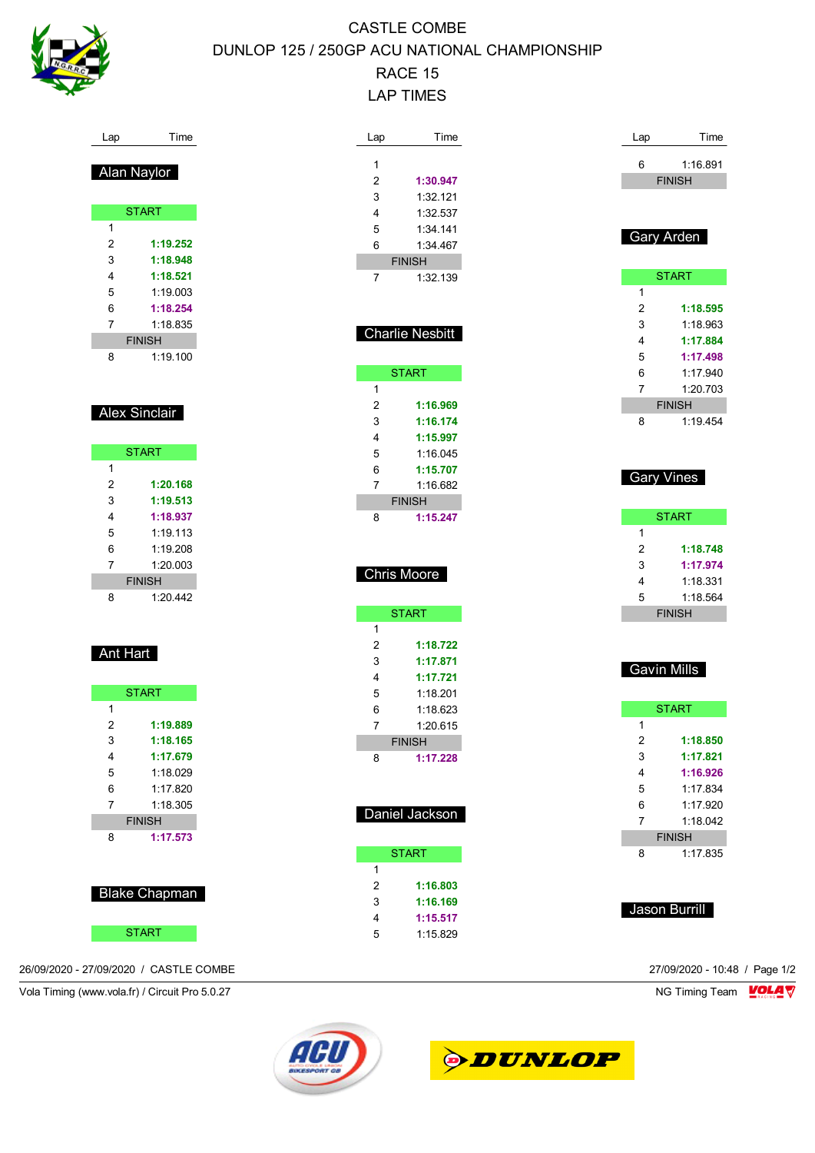

# CASTLE COMBE DUNLOP 125 / 250GP ACU NATIONAL CHAMPIONSHIP RACE 15 LAP TIMES

| Lap            | Time                 | Lap            | Time                   |
|----------------|----------------------|----------------|------------------------|
|                |                      |                |                        |
|                | <u>Alan Naylor</u>   | 1              |                        |
|                |                      | $\overline{2}$ | 1:30.947               |
|                |                      | 3              | 1:32.121               |
|                | <b>START</b>         | 4              | 1:32.537               |
| 1              |                      | 5              | 1:34.141               |
| $\overline{2}$ | 1:19.252             | 6              | 1:34.467               |
| 3              | 1:18.948             |                | <b>FINISH</b>          |
| 4              | 1:18.521             | 7              | 1:32.139               |
| 5              | 1:19.003             |                |                        |
| 6              | 1:18.254             |                |                        |
| $\overline{7}$ | 1:18.835             |                | <b>Charlie Nesbitt</b> |
|                | <b>FINISH</b>        |                |                        |
| 8              | 1:19.100             |                |                        |
|                |                      |                | <b>START</b>           |
|                |                      | 1              |                        |
|                | <b>Alex Sinclair</b> | $\overline{2}$ | 1:16.969               |
|                |                      | 3              | 1:16.174               |
|                |                      | 4              | 1:15.997               |
|                | <b>START</b>         | 5              | 1:16.045               |
| 1              |                      | 6              | 1:15.707               |
| 2              | 1:20.168             | 7              | 1:16.682               |
| 3              | 1:19.513             |                | <b>FINISH</b>          |
| 4              | 1:18.937             | 8              | 1:15.247               |
| 5              | 1:19.113             |                |                        |
| 6              | 1:19.208             |                |                        |
| $\overline{7}$ | 1:20.003             |                | <b>Chris Moore</b>     |
|                | <b>FINISH</b>        |                |                        |
| 8              | 1:20.442             |                |                        |
|                |                      |                | <b>START</b>           |
|                |                      | 1              |                        |
|                | Ant Hart             | $\overline{2}$ | 1:18.722               |
|                |                      | 3              | 1:17.871               |
|                |                      | 4              | 1:17.721               |
|                | <b>START</b>         | 5              | 1:18.201               |
| 1              |                      | 6              | 1:18.623               |
| $\overline{2}$ | 1:19.889             | 7              | 1:20.615               |
| 3              | 1:18.165             |                | <b>FINISH</b>          |
| 4              | 1:17.679             | 8              | 1:17.228               |
| 5              | 1:18.029             |                |                        |
| 6              | 1:17.820             |                |                        |
| 7              | 1:18.305             |                |                        |
|                | <b>FINISH</b>        |                | Daniel Jackson         |
| 8              | 1:17.573             |                |                        |
|                |                      |                | <b>START</b>           |
|                |                      | 1              |                        |
|                |                      | $\overline{2}$ | 1:16.803               |
|                | <b>Blake Chapman</b> | 3              | 1:16.169               |
|                |                      | 4              | 1:15.517               |
|                | <b>START</b>         | 5              | 1:15.829               |

| 6             | 1:16.891<br><b>FINISH</b> |  |  |  |  |
|---------------|---------------------------|--|--|--|--|
|               |                           |  |  |  |  |
|               |                           |  |  |  |  |
|               | Gary Arden                |  |  |  |  |
|               |                           |  |  |  |  |
|               | <b>START</b>              |  |  |  |  |
| 1             |                           |  |  |  |  |
| 2             | 1:18.595                  |  |  |  |  |
| 3             | 1:18.963                  |  |  |  |  |
| 4             | 1:17.884                  |  |  |  |  |
| 5             | 1:17.498                  |  |  |  |  |
| 6             | 1:17.940                  |  |  |  |  |
| 7             | 1:20.703                  |  |  |  |  |
| <b>FINISH</b> |                           |  |  |  |  |
| 8             | 1:19.454                  |  |  |  |  |
|               |                           |  |  |  |  |
|               |                           |  |  |  |  |

Lap Time

### Gary Vines

| <b>START</b>  |          |  |  |  |
|---------------|----------|--|--|--|
| 1             |          |  |  |  |
| 2             | 1:18.748 |  |  |  |
| 3             | 1:17.974 |  |  |  |
| 4             | 1:18.331 |  |  |  |
| 5             | 1:18.564 |  |  |  |
| <b>FINISH</b> |          |  |  |  |

## Gavin Mills

|   | <b>START</b>  |
|---|---------------|
| 1 |               |
| 2 | 1:18.850      |
| 3 | 1:17.821      |
| 4 | 1:16.926      |
| 5 | 1:17.834      |
| 6 | 1:17.920      |
| 7 | 1:18.042      |
|   | <b>FINISH</b> |
| 8 | 1:17.835      |
|   |               |
|   |               |

Jason Burrill

26/09/2020 - 27/09/2020 / CASTLE COMBE 27/09/2020 - 10:48 / Page 1/2

Vola Timing (www.vola.fr) / Circuit Pro 5.0.27 NG Timing Team VOLA V



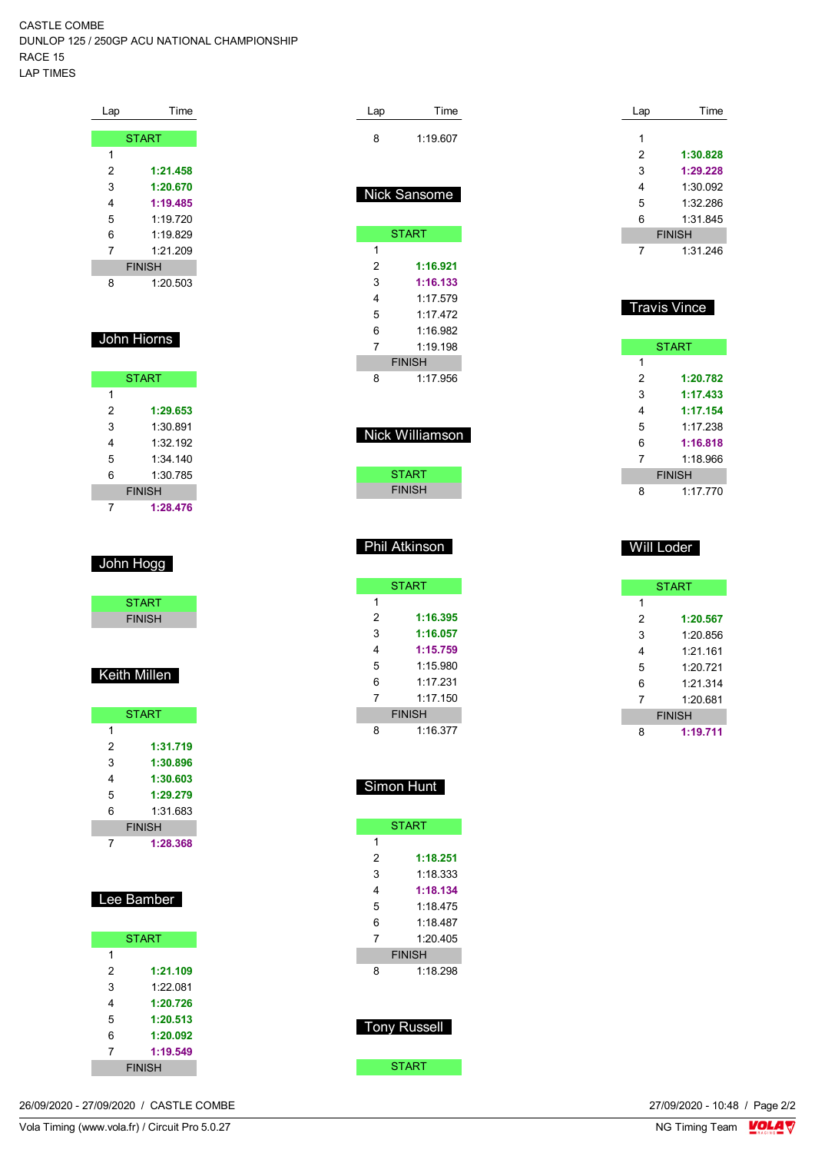CASTLE COMBE DUNLOP 125 / 250GP ACU NATIONAL CHAMPIONSHIP RACE 15 LAP TIMES

| Lap | Time          |
|-----|---------------|
|     |               |
|     | <b>START</b>  |
| 1   |               |
| 2   | 1:21.458      |
| 3   | 1:20.670      |
| 4   | 1:19.485      |
| 5   | 1:19.720      |
| 6   | 1.19829       |
| 7   | 1:21.209      |
|     | <b>FINISH</b> |
| 8   | 1:20.503      |

## John Hiorns

| <b>START</b> |               |  |  |  |
|--------------|---------------|--|--|--|
| 1            |               |  |  |  |
| 2            | 1:29.653      |  |  |  |
| 3            | 1:30.891      |  |  |  |
| 4            | 1:32 192      |  |  |  |
| 5            | 1:34.140      |  |  |  |
| 6            | 1:30 785      |  |  |  |
|              | <b>FINISH</b> |  |  |  |
|              | 1:28.476      |  |  |  |

## John Hogg

| <b>START</b>  |  |
|---------------|--|
| <b>FINISH</b> |  |
|               |  |

## Keith Millen

| <b>START</b> |               |  |  |  |
|--------------|---------------|--|--|--|
| 1            |               |  |  |  |
| 2            | 1:31.719      |  |  |  |
| 3            | 1:30.896      |  |  |  |
| 4            | 1:30.603      |  |  |  |
| 5            | 1:29.279      |  |  |  |
| 6            | 1:31.683      |  |  |  |
|              | <b>FINISH</b> |  |  |  |
|              | 1:28.368      |  |  |  |

| Lee Bamber |
|------------|
|------------|

| <b>START</b>  |          |  |  |  |
|---------------|----------|--|--|--|
| 1             |          |  |  |  |
| 2             | 1:21.109 |  |  |  |
| 3             | 1:22.081 |  |  |  |
| 4             | 1:20.726 |  |  |  |
| 5             | 1:20.513 |  |  |  |
| 6             | 1:20.092 |  |  |  |
| 7<br>1:19.549 |          |  |  |  |
| <b>FINISH</b> |          |  |  |  |

| Lap             | Time          |  |  |  |
|-----------------|---------------|--|--|--|
| 8               | 1:19.607      |  |  |  |
|                 |               |  |  |  |
|                 |               |  |  |  |
|                 | Nick Sansome  |  |  |  |
|                 | <b>START</b>  |  |  |  |
| 1               |               |  |  |  |
| 2               | 1:16.921      |  |  |  |
| 3               | 1:16.133      |  |  |  |
| 4               | 1.17579       |  |  |  |
| 5               | 1.17472       |  |  |  |
| 6               | 1.16982       |  |  |  |
| 7               | 1.19198       |  |  |  |
|                 | <b>FINISH</b> |  |  |  |
| 8               | 1:17.956      |  |  |  |
|                 |               |  |  |  |
|                 |               |  |  |  |
| Nick Williamson |               |  |  |  |
|                 |               |  |  |  |

| START         |  |
|---------------|--|
| <b>FINISH</b> |  |

#### Phil Atkinson

|   | <b>START</b>  |
|---|---------------|
| 1 |               |
| 2 | 1:16.395      |
| 3 | 1:16.057      |
| 4 | 1:15.759      |
| 5 | 1:15.980      |
| 6 | 1:17.231      |
| 7 | 1.17150       |
|   | <b>FINISH</b> |
| 8 | 1:16.377      |

## Simon Hunt

|   | <b>START</b>  |
|---|---------------|
| 1 |               |
| 2 | 1:18.251      |
| 3 | 1:18.333      |
| 4 | 1:18.134      |
| 5 | 1.18475       |
| 6 | 1.18487       |
| 7 | 1:20.405      |
|   | <b>FINISH</b> |
| 8 | 1:18.298      |
|   |               |
|   |               |
|   |               |

## Tony Russell

**START** 

| Lap | Time          |
|-----|---------------|
|     |               |
| 1   |               |
| 2   | 1:30.828      |
| 3   | 1:29.228      |
| 4   | 1:30.092      |
| 5   | 1:32.286      |
| 6   | 1:31.845      |
|     | <b>FINISH</b> |
|     | 1:31.246      |

## **Travis Vince**

|   | <b>START</b>  |
|---|---------------|
| 1 |               |
| 2 | 1:20.782      |
| 3 | 1:17.433      |
| 4 | 1:17.154      |
| 5 | 1:17 238      |
| 6 | 1:16.818      |
| 7 | 1:18.966      |
|   | <b>FINISH</b> |
| R | 1:17.770      |

#### Will Loder

|   | <b>START</b>  |
|---|---------------|
| 1 |               |
| 2 | 1:20.567      |
| 3 | 1:20.856      |
| 4 | 1:21.161      |
| 5 | 1:20.721      |
| 6 | 1.21.314      |
| 7 | 1:20681       |
|   | <b>FINISH</b> |
| ឧ | 1:19.711      |

26/09/2020 - 27/09/2020 / CASTLE COMBE

Vola Timing (www.vola.fr) / Circuit Pro 5.0.27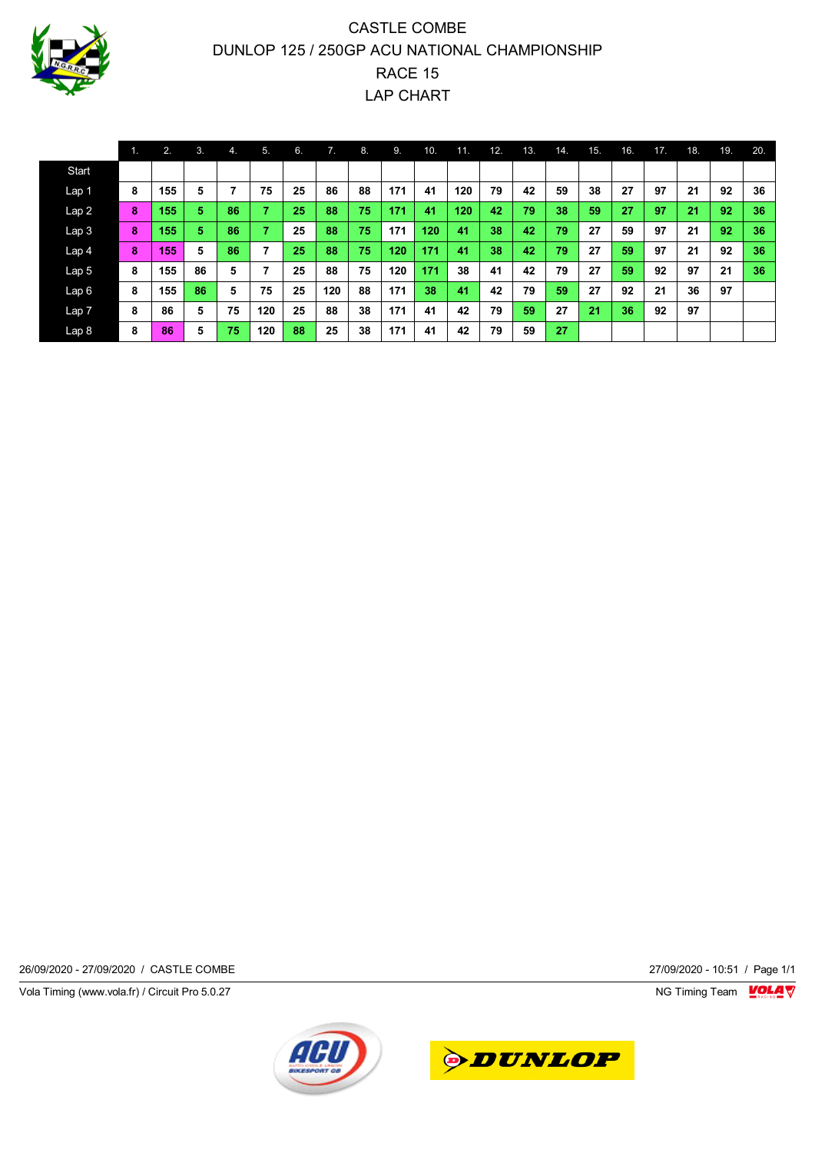

# CASTLE COMBE DUNLOP 125 / 250GP ACU NATIONAL CHAMPIONSHIP RACE 15 LAP CHART

|                  | 1. | 2.  | 3. | $\mathbf{4}$ | 5.                       | 6. | 7.  | 8. | 9.  | 10. | 11. | 12. | 13. | 14. | 15. | 16. | 17. | 18. | 19. | 20. |
|------------------|----|-----|----|--------------|--------------------------|----|-----|----|-----|-----|-----|-----|-----|-----|-----|-----|-----|-----|-----|-----|
| Start            |    |     |    |              |                          |    |     |    |     |     |     |     |     |     |     |     |     |     |     |     |
| Lap 1            | 8  | 155 | 5  |              | 75                       | 25 | 86  | 88 | 171 | 41  | 120 | 79  | 42  | 59  | 38  | 27  | 97  | 21  | 92  | 36  |
| Lap2             | 8  | 155 | 5  | 86           | 7                        | 25 | 88  | 75 | 171 | 41  | 120 | 42  | 79  | 38  | 59  | 27  | 97  | 21  | 92  | 36  |
| Lap <sub>3</sub> | 8  | 155 | 5  | 86           | ۰.                       | 25 | 88  | 75 | 171 | 120 | 41  | 38  | 42  | 79  | 27  | 59  | 97  | 21  | 92  | 36  |
| Lap <sub>4</sub> | 8  | 155 | 5  | 86           | $\overline{\phantom{a}}$ | 25 | 88  | 75 | 120 | 171 | 41  | 38  | 42  | 79  | 27  | 59  | 97  | 21  | 92  | 36  |
| Lap <sub>5</sub> | 8  | 155 | 86 | 5            | ⇁                        | 25 | 88  | 75 | 120 | 171 | 38  | 41  | 42  | 79  | 27  | 59  | 92  | 97  | 21  | 36  |
| Lap6             | 8  | 155 | 86 | 5            | 75                       | 25 | 120 | 88 | 171 | 38  | 41  | 42  | 79  | 59  | 27  | 92  | 21  | 36  | 97  |     |
| Lap <sub>7</sub> | 8  | 86  | 5  | 75           | 120                      | 25 | 88  | 38 | 171 | 41  | 42  | 79  | 59  | 27  | 21  | 36  | 92  | 97  |     |     |
| Lap <sub>8</sub> | 8  | 86  | 5  | 75           | 120                      | 88 | 25  | 38 | 171 | 41  | 42  | 79  | 59  | 27  |     |     |     |     |     |     |

26/09/2020 - 27/09/2020 / CASTLE COMBE 27/09/2020 - 10:51 / Page 1/1

Vola Timing (www.vola.fr) / Circuit Pro 5.0.27 **NG Timing Team** MG Timing Team MG Timing Team MC Timing Team MC Timing Team MC Timing Team MC Timing Team MC Timing Team MC Timing Team MC Timing Team MC Timing Team MC Timin



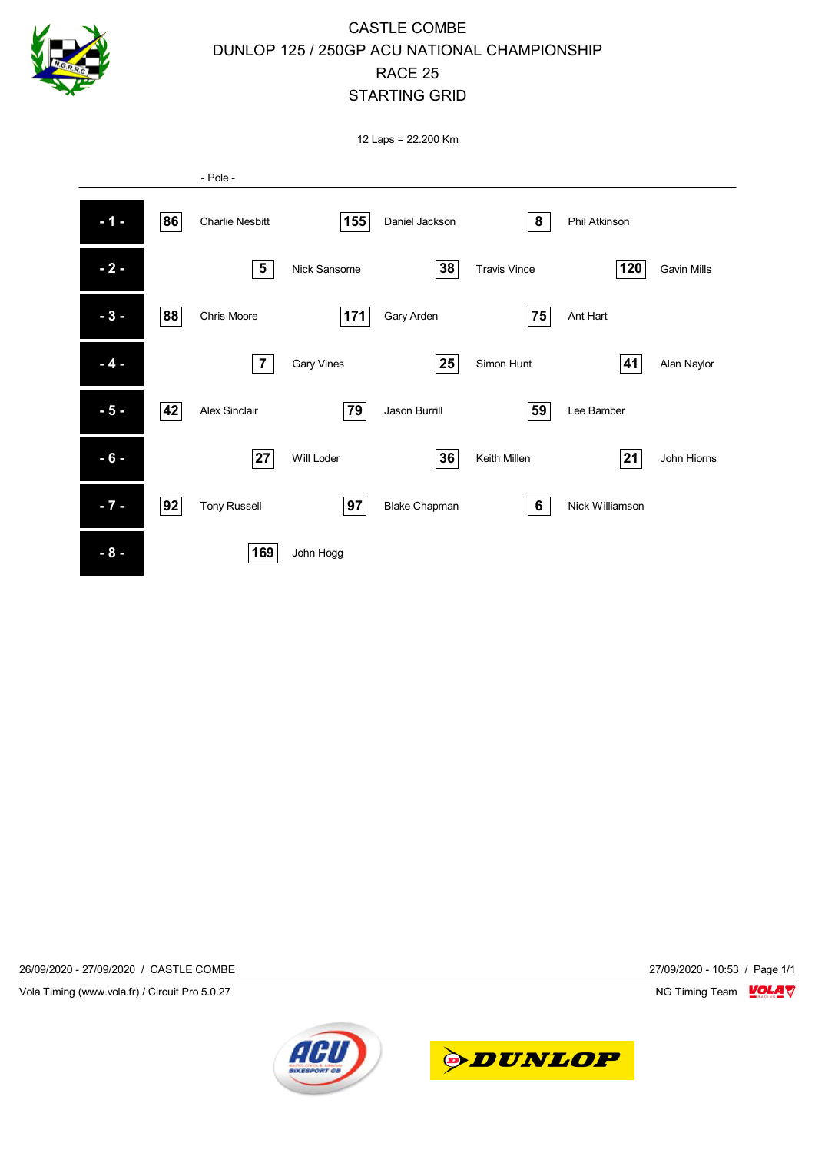

## CASTLE COMBE DUNLOP 125 / 250GP ACU NATIONAL CHAMPIONSHIP RACE 25 STARTING GRID

12 Laps = 22.200 Km



26/09/2020 - 27/09/2020 / CASTLE COMBE 27/09/2020 - 10:53 / Page 1/1

Vola Timing (www.vola.fr) / Circuit Pro 5.0.27 NG Timing Team NG Timing Team NG Timing Team NG Timing Team NG



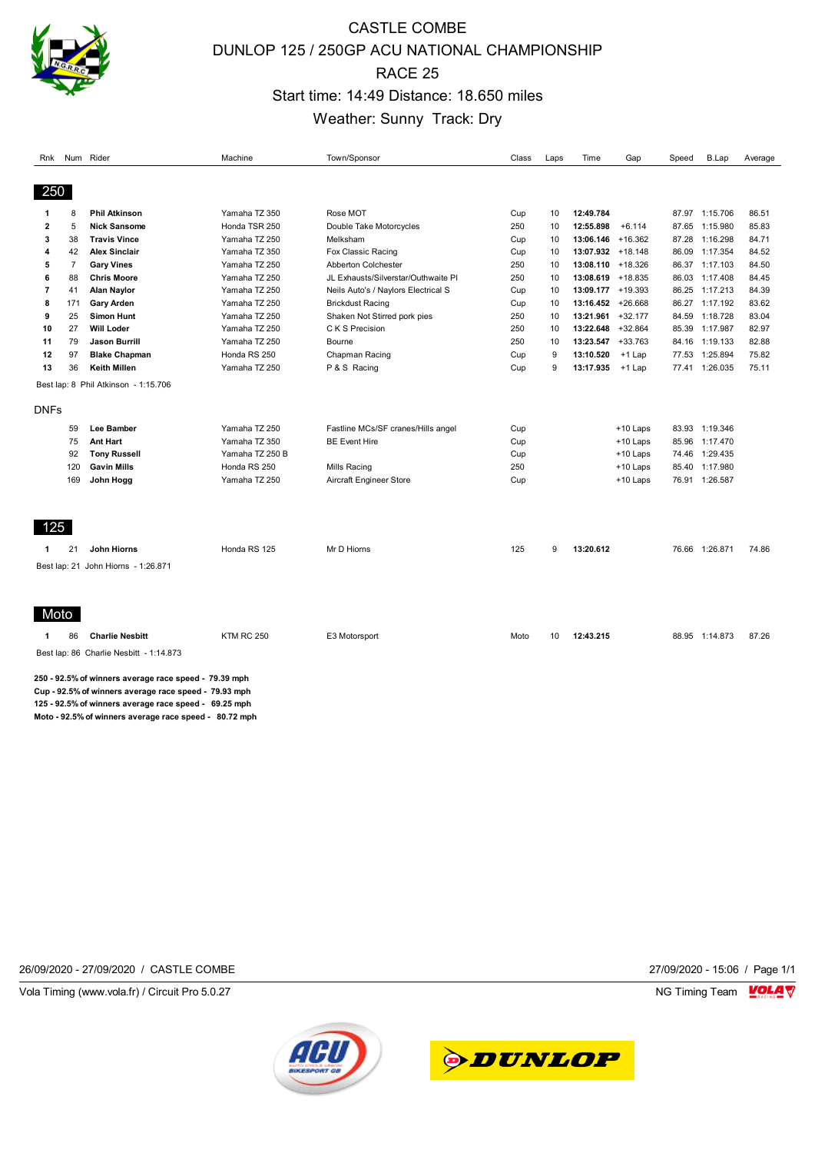

# CASTLE COMBE DUNLOP 125 / 250GP ACU NATIONAL CHAMPIONSHIP RACE 25 Start time: 14:49 Distance: 18.650 miles Weather: Sunny Track: Dry

| Rnk            |                | Num Rider                                                                                                                                                                                                                     | Machine           | Town/Sponsor                        | Class | Laps | Time                 | Gap        | Speed | B.Lap          | Average |
|----------------|----------------|-------------------------------------------------------------------------------------------------------------------------------------------------------------------------------------------------------------------------------|-------------------|-------------------------------------|-------|------|----------------------|------------|-------|----------------|---------|
| 250            |                |                                                                                                                                                                                                                               |                   |                                     |       |      |                      |            |       |                |         |
| 1              | 8              | <b>Phil Atkinson</b>                                                                                                                                                                                                          | Yamaha TZ 350     | Rose MOT                            | Cup   | 10   | 12:49.784            |            |       | 87.97 1:15.706 | 86.51   |
| 2              | 5              | <b>Nick Sansome</b>                                                                                                                                                                                                           | Honda TSR 250     | Double Take Motorcycles             | 250   | 10   | 12:55.898            | $+6.114$   |       | 87.65 1:15.980 | 85.83   |
| 3              | 38             | <b>Travis Vince</b>                                                                                                                                                                                                           | Yamaha TZ 250     | Melksham                            | Cup   | 10   | $13:06.146 + 16.362$ |            | 87.28 | 1:16.298       | 84.71   |
| 4              | 42             | <b>Alex Sinclair</b>                                                                                                                                                                                                          | Yamaha TZ 350     | Fox Classic Racing                  | Cup   | 10   | 13:07.932 +18.148    |            |       | 86.09 1:17.354 | 84.52   |
| 5              | $\overline{7}$ | <b>Gary Vines</b>                                                                                                                                                                                                             | Yamaha TZ 250     | Abberton Colchester                 | 250   | 10   | $13:08.110 + 18.326$ |            |       | 86.37 1:17.103 | 84.50   |
| 6              | 88             | <b>Chris Moore</b>                                                                                                                                                                                                            | Yamaha TZ 250     | JL Exhausts/Silverstar/Outhwaite Pl | 250   | 10   | 13:08.619 +18.835    |            |       | 86.03 1:17.408 | 84.45   |
| $\overline{7}$ | 41             | Alan Naylor                                                                                                                                                                                                                   | Yamaha TZ 250     | Neils Auto's / Naylors Electrical S | Cup   | 10   | 13:09.177 +19.393    |            |       | 86.25 1:17.213 | 84.39   |
| 8              | 171            | <b>Gary Arden</b>                                                                                                                                                                                                             | Yamaha TZ 250     | <b>Brickdust Racing</b>             | Cup   | 10   | $13:16.452 + 26.668$ |            |       | 86.27 1:17.192 | 83.62   |
| 9              | 25             | <b>Simon Hunt</b>                                                                                                                                                                                                             | Yamaha TZ 250     | Shaken Not Stirred pork pies        | 250   | 10   | 13:21.961            | $+32.177$  |       | 84.59 1:18.728 | 83.04   |
| 10             | 27             | <b>Will Loder</b>                                                                                                                                                                                                             | Yamaha TZ 250     | C K S Precision                     | 250   | 10   | 13:22.648            | $+32.864$  |       | 85.39 1:17.987 | 82.97   |
| 11             | 79             | <b>Jason Burrill</b>                                                                                                                                                                                                          | Yamaha TZ 250     | Bourne                              | 250   | 10   | 13:23.547 +33.763    |            | 84.16 | 1:19.133       | 82.88   |
| 12             | 97             | <b>Blake Chapman</b>                                                                                                                                                                                                          | Honda RS 250      | Chapman Racing                      | Cup   | 9    | 13:10.520            | +1 Lap     |       | 77.53 1:25.894 | 75.82   |
| 13             | 36             | <b>Keith Millen</b>                                                                                                                                                                                                           | Yamaha TZ 250     | P & S Racing                        | Cup   | 9    | 13:17.935            | +1 Lap     | 77.41 | 1:26.035       | 75.11   |
|                |                | Best lap: 8 Phil Atkinson - 1:15.706                                                                                                                                                                                          |                   |                                     |       |      |                      |            |       |                |         |
| <b>DNFs</b>    |                |                                                                                                                                                                                                                               |                   |                                     |       |      |                      |            |       |                |         |
|                | 59             | Lee Bamber                                                                                                                                                                                                                    | Yamaha TZ 250     | Fastline MCs/SF cranes/Hills angel  | Cup   |      |                      | $+10$ Laps |       | 83.93 1:19.346 |         |
|                | 75             | <b>Ant Hart</b>                                                                                                                                                                                                               | Yamaha TZ 350     | <b>BE Event Hire</b>                | Cup   |      |                      | $+10$ Laps |       | 85.96 1:17.470 |         |
|                | 92             | <b>Tony Russell</b>                                                                                                                                                                                                           | Yamaha TZ 250 B   |                                     | Cup   |      |                      | $+10$ Laps |       | 74.46 1:29.435 |         |
|                | 120            | <b>Gavin Mills</b>                                                                                                                                                                                                            | Honda RS 250      | Mills Racing                        | 250   |      |                      | $+10$ Laps | 85.40 | 1:17.980       |         |
|                | 169            | John Hogg                                                                                                                                                                                                                     | Yamaha TZ 250     | Aircraft Engineer Store             | Cup   |      |                      | +10 Laps   |       | 76.91 1:26.587 |         |
|                |                |                                                                                                                                                                                                                               |                   |                                     |       |      |                      |            |       |                |         |
| 125            |                |                                                                                                                                                                                                                               |                   |                                     |       |      |                      |            |       |                |         |
| -1             | 21             | John Hiorns                                                                                                                                                                                                                   | Honda RS 125      | Mr D Hiorns                         | 125   | 9    | 13:20.612            |            |       | 76.66 1:26.871 | 74.86   |
|                |                | Best lap: 21 John Hiorns - 1:26.871                                                                                                                                                                                           |                   |                                     |       |      |                      |            |       |                |         |
|                |                |                                                                                                                                                                                                                               |                   |                                     |       |      |                      |            |       |                |         |
| Moto           |                |                                                                                                                                                                                                                               |                   |                                     |       |      |                      |            |       |                |         |
| $\mathbf{1}$   | 86             | <b>Charlie Nesbitt</b>                                                                                                                                                                                                        | <b>KTM RC 250</b> | E3 Motorsport                       | Moto  | 10   | 12:43.215            |            |       | 88.95 1:14.873 | 87.26   |
|                |                | Best lap: 86 Charlie Nesbitt - 1:14.873                                                                                                                                                                                       |                   |                                     |       |      |                      |            |       |                |         |
|                |                | 250 - 92.5% of winners average race speed - 79.39 mph<br>Cup - 92.5% of winners average race speed - 79.93 mph<br>125 92.5% of winners average race speed 69.25 mph<br>Moto - 92.5% of winners average race speed - 80.72 mph |                   |                                     |       |      |                      |            |       |                |         |
|                |                |                                                                                                                                                                                                                               |                   |                                     |       |      |                      |            |       |                |         |

26/09/2020 - 27/09/2020 / CASTLE COMBE 27/09/2020 - 15:06 / Page 1/1

Vola Timing (www.vola.fr) / Circuit Pro 5.0.27 **NG Timing Team MOLA View Account Property** NG Timing Team MOLA View



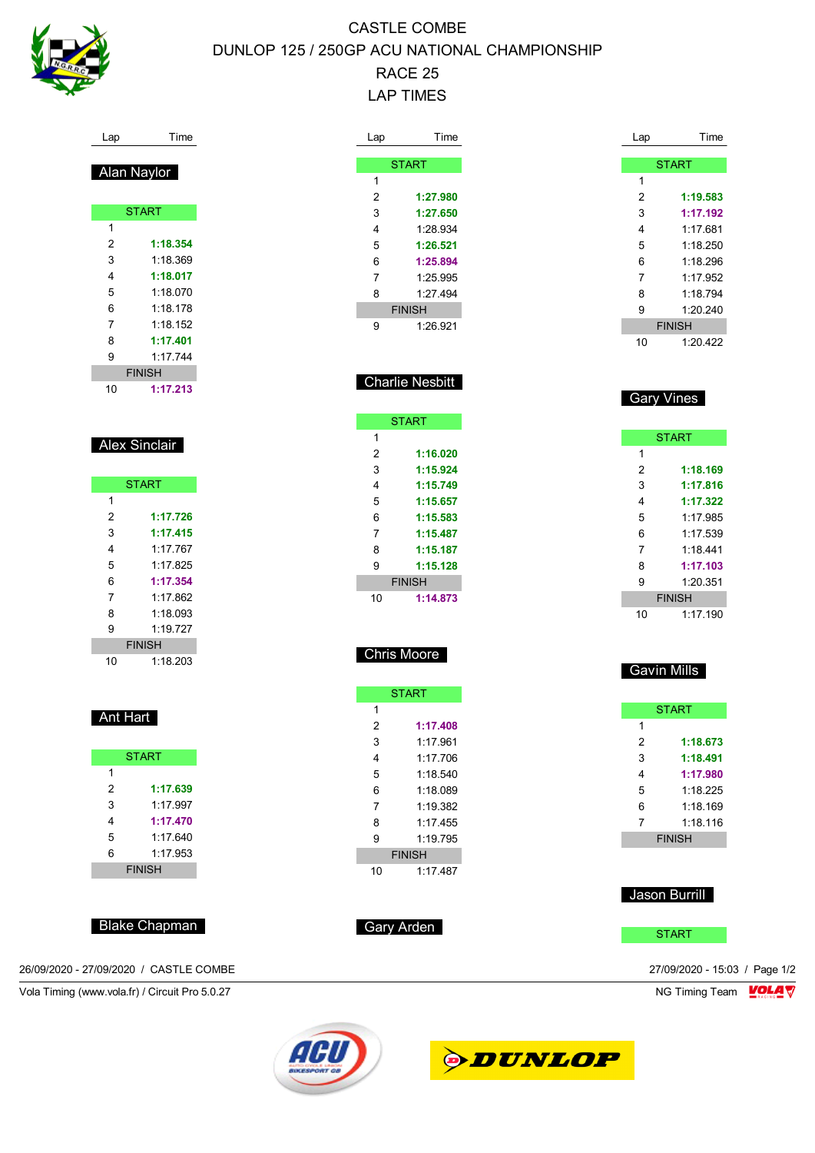

# CASTLE COMBE DUNLOP 125 / 250GP ACU NATIONAL CHAMPIONSHIP RACE 25 LAP TIMES

| Time<br>Lap                                    | Lap          | Time<br>Lap                         | Time                            |
|------------------------------------------------|--------------|-------------------------------------|---------------------------------|
| Alan Naylor                                    |              | <b>START</b>                        | <b>START</b>                    |
|                                                | $\mathbf{1}$ | $\mathbf{1}$                        |                                 |
| <b>START</b>                                   | 2            | 2<br>1:27.980                       | 1:19.583<br>1:17.192            |
| $\mathbf{1}$                                   | 3<br>4       | 3<br>1:27.650<br>1:28.934<br>4      | 1:17.681                        |
| $\overline{c}$<br>1:18.354                     | 5            | 1:26.521<br>5                       | 1:18.250                        |
| 3<br>1:18.369                                  | 6            | 1:25.894<br>6                       | 1:18.296                        |
| 4<br>1:18.017                                  | 7            | 7<br>1:25.995                       | 1:17.952                        |
| 5<br>1:18.070                                  | 8            | 1:27.494<br>8                       | 1:18.794                        |
| 1:18.178<br>6                                  |              | <b>FINISH</b><br>9                  | 1:20.240                        |
| $\overline{7}$<br>1:18.152                     | 9            | 1:26.921                            | <b>FINISH</b>                   |
| 8<br>1:17.401                                  |              | 10                                  | 1:20.422                        |
| 1:17.744<br>9                                  |              |                                     |                                 |
| <b>FINISH</b>                                  |              |                                     |                                 |
| 1:17.213<br>10                                 |              | <b>Charlie Nesbitt</b>              | <b>Gary Vines</b>               |
|                                                |              | <b>START</b>                        |                                 |
|                                                | $\mathbf{1}$ |                                     | <b>START</b>                    |
| <b>Alex Sinclair</b>                           | 2            | $\mathbf{1}$<br>1:16.020            |                                 |
|                                                | 3            | 2<br>1:15.924                       | 1:18.169                        |
| <b>START</b>                                   | 4            | 3<br>1:15.749                       | 1:17.816                        |
| $\mathbf{1}$                                   | 5            | 1:15.657<br>4                       | 1:17.322                        |
| $\overline{2}$<br>1:17.726                     | 6            | 1:15.583<br>5                       | 1:17.985                        |
| 3<br>1:17.415                                  | 7            | 1:15.487<br>6                       | 1:17.539                        |
| 1:17.767<br>4                                  | 8            | 7<br>1:15.187                       | 1:18.441                        |
| 5<br>1:17.825                                  |              |                                     | 1:17.103                        |
| 6<br>1:17.354                                  | 9            | 8<br>1:15.128<br>9                  |                                 |
| 7<br>1:17.862                                  |              | <b>FINISH</b>                       | 1:20.351                        |
| 8<br>1:18.093                                  | 10           | 1:14.873                            | <b>FINISH</b>                   |
| 9<br>1:19.727                                  |              | 10                                  | 1:17.190                        |
| <b>FINISH</b>                                  |              |                                     |                                 |
| 1:18.203<br>10                                 |              | <b>Chris Moore</b>                  |                                 |
|                                                |              |                                     | Gavin Mills                     |
|                                                |              | <b>START</b>                        |                                 |
| Ant Hart                                       | 1            |                                     | <b>START</b>                    |
|                                                | 2            | 1<br>1:17.408                       |                                 |
|                                                | 3            | $\overline{\mathbf{c}}$<br>1:17.961 | 1:18.673                        |
| <b>START</b>                                   | 4            | 1:17.706<br>3                       | 1:18.491                        |
| 1                                              | 5            | 1:18.540<br>4                       | 1:17.980                        |
| $\overline{c}$<br>1:17.639                     | 6            | 1:18.089<br>5                       | 1:18.225                        |
| 3<br>1:17.997                                  | 7            | 1:19.382<br>6                       | 1:18.169                        |
| 1:17.470<br>4                                  | 8            | 1:17.455<br>$\overline{7}$          | 1:18.116                        |
| 1:17.640<br>5                                  | 9            | 1:19.795                            | <b>FINISH</b>                   |
| 1:17.953<br>6                                  |              | <b>FINISH</b>                       |                                 |
| <b>FINISH</b>                                  | 10           | 1:17.487                            |                                 |
|                                                |              |                                     | Jason Burrill                   |
| <b>Blake Chapman</b>                           | Gary Arden   |                                     | <b>START</b>                    |
| 26/09/2020 - 27/09/2020 / CASTLE COMBE         |              |                                     | 27/09/2020 - 15:03 / Page 1/2   |
|                                                |              |                                     |                                 |
| Vola Timing (www.vola.fr) / Circuit Pro 5.0.27 |              |                                     | <b>VOLA V</b><br>NG Timing Team |



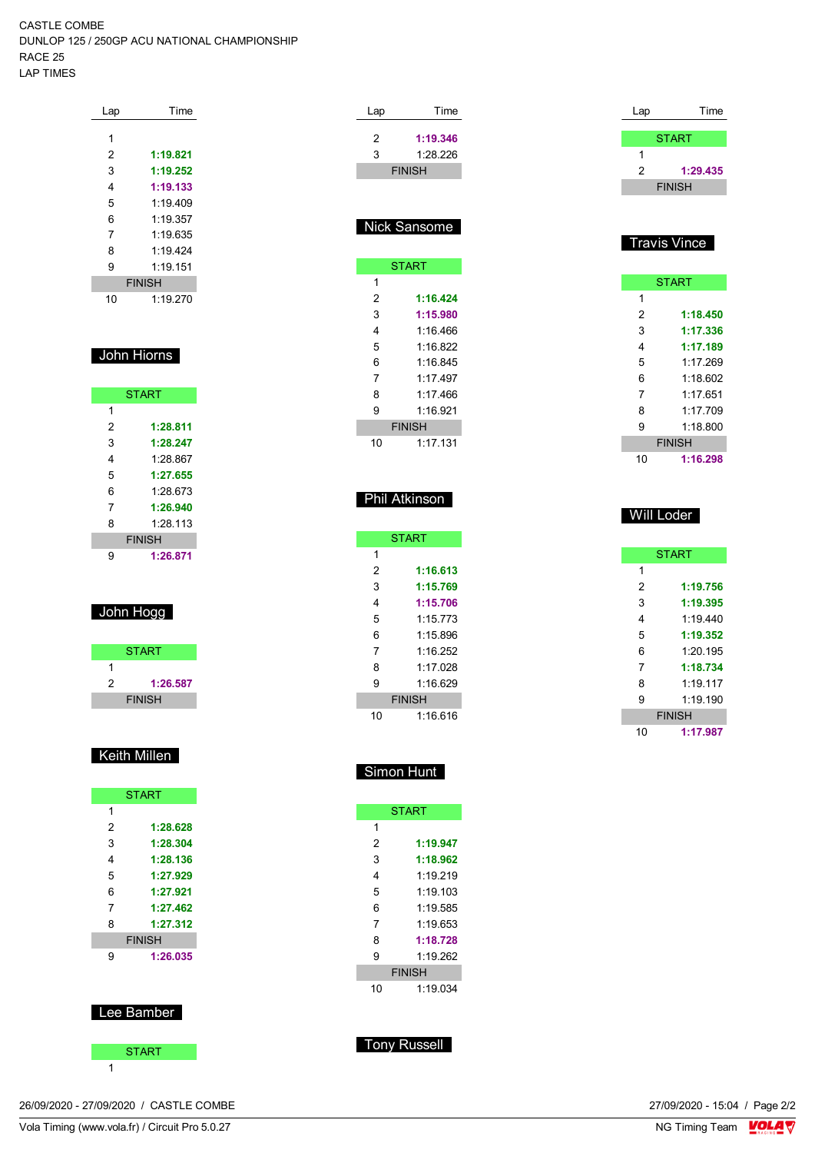CASTLE COMBE DUNLOP 125 / 250GP ACU NATIONAL CHAMPIONSHIP RACE 25 LAP TIMES

| Lap | Time          |
|-----|---------------|
| 1   |               |
| 2   | 1:19.821      |
| 3   | 1:19.252      |
| 4   | 1:19.133      |
| 5   | 1:19.409      |
| 6   | 1.19.357      |
| 7   | 1:19.635      |
| 8   | 1.19424       |
| 9   | 1:19.151      |
|     | <b>FINISH</b> |
| 10  | 1:19.270      |

#### John Hiorns

|   | <b>START</b>  |
|---|---------------|
| 1 |               |
| 2 | 1:28.811      |
| 3 | 1:28.247      |
| 4 | 1.28 867      |
| 5 | 1:27.655      |
| 6 | 1.28 673      |
| 7 | 1:26.940      |
| 8 | 1:28.113      |
|   | <b>FINISH</b> |
| g | 1:26.871      |

#### John Hogg

|   | <b>START</b>  |  |
|---|---------------|--|
|   |               |  |
| 2 | 1:26.587      |  |
|   | <b>FINISH</b> |  |

## Keith Millen

|   | <b>START</b>  |
|---|---------------|
| 1 |               |
| 2 | 1:28.628      |
| 3 | 1:28.304      |
| 4 | 1:28.136      |
| 5 | 1:27.929      |
| 6 | 1:27.921      |
| 7 | 1:27.462      |
| 8 | 1:27.312      |
|   | <b>FINISH</b> |
| 9 | 1:26.035      |
|   |               |
|   |               |
|   |               |
|   | Lee Bamber    |



| Lap                 | Time          |
|---------------------|---------------|
|                     | <b>START</b>  |
| 1                   |               |
| 2                   | 1:29.435      |
|                     | <b>FINISH</b> |
|                     |               |
|                     |               |
| <b>Travis Vince</b> |               |

#### **START**  $\overline{1}$  **1:18.450 1:17.336 1:17.189** 1:17.269 1:18.602 1:17.651 1:17.709 1:18.800 FINISH **1:16.298**

|    | <b>START</b>  |
|----|---------------|
| 1  |               |
| 2  | 1:19.756      |
| 3  | 1:19.395      |
| 4  | 1.19440       |
| 5  | 1:19.352      |
| 6  | 1.20195       |
| 7  | 1:18.734      |
| 8  | 1.19117       |
| 9  | 1.19190       |
|    | <b>FINISH</b> |
| 10 | 1:17.987      |

Will Loder

## Simon Hunt

Lap Time **1:19.346** 1:28.226 FINISH

Nick Sansome

**START** 

 **1:16.424 1:15.980** 1:16.466 1:16.822 1:16.845 1:17.497 1:17.466 1:16.921 FINISH 1:17.131

Phil Atkinson

**START** 

 **1:16.613 1:15.769 1:15.706** 1:15.773 1:15.896 1:16.252 1:17.028 1:16.629 FINISH 1:16.616

|                                 | <b>START</b> |  |  |  |  |  |
|---------------------------------|--------------|--|--|--|--|--|
| 1                               |              |  |  |  |  |  |
| 2                               | 1:19.947     |  |  |  |  |  |
| 3                               | 1:18.962     |  |  |  |  |  |
| 4                               | 1.19 219     |  |  |  |  |  |
| 5                               | 1.19103      |  |  |  |  |  |
| 6                               | 1.19.585     |  |  |  |  |  |
| 7                               | 1.19653      |  |  |  |  |  |
| 8                               | 1:18.728     |  |  |  |  |  |
| 9                               | 1.19262      |  |  |  |  |  |
| <b>FINISH</b><br>1:19.034<br>10 |              |  |  |  |  |  |
|                                 |              |  |  |  |  |  |

Tony Russell

26/09/2020 - 27/09/2020 / CASTLE COMBE

Vola Timing (www.vola.fr) / Circuit Pro 5.0.27

27/09/2020 - 15:04 / Page 2/2<br>NG Timing Team  $\sqrt{\frac{1}{2}}$